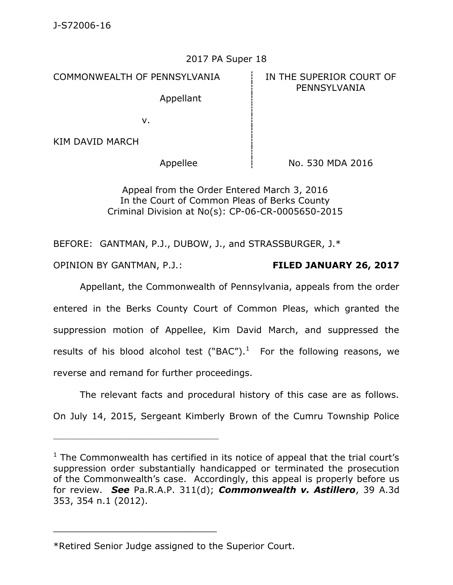## 2017 PA Super 18

COMMONWEALTH OF PENNSYLVANIA **IN THE SUPERIOR COURT OF** 

Appellant

PENNSYLVANIA

v.

KIM DAVID MARCH

Appellee i No. 530 MDA 2016

Appeal from the Order Entered March 3, 2016 In the Court of Common Pleas of Berks County Criminal Division at No(s): CP-06-CR-0005650-2015

BEFORE: GANTMAN, P.J., DUBOW, J., and STRASSBURGER, J.\*

OPINION BY GANTMAN, P.J.: **FILED JANUARY 26, 2017**

Appellant, the Commonwealth of Pennsylvania, appeals from the order entered in the Berks County Court of Common Pleas, which granted the suppression motion of Appellee, Kim David March, and suppressed the results of his blood alcohol test ("BAC").<sup>1</sup> For the following reasons, we reverse and remand for further proceedings.

The relevant facts and procedural history of this case are as follows.

On July 14, 2015, Sergeant Kimberly Brown of the Cumru Township Police

\_\_\_\_\_\_\_\_\_\_\_\_\_\_\_\_\_\_\_\_\_\_\_\_\_\_\_\_\_

 $1$  The Commonwealth has certified in its notice of appeal that the trial court's suppression order substantially handicapped or terminated the prosecution of the Commonwealth's case. Accordingly, this appeal is properly before us for review. *See* Pa.R.A.P. 311(d); *Commonwealth v. Astillero*, 39 A.3d 353, 354 n.1 (2012).

<sup>\*</sup>Retired Senior Judge assigned to the Superior Court.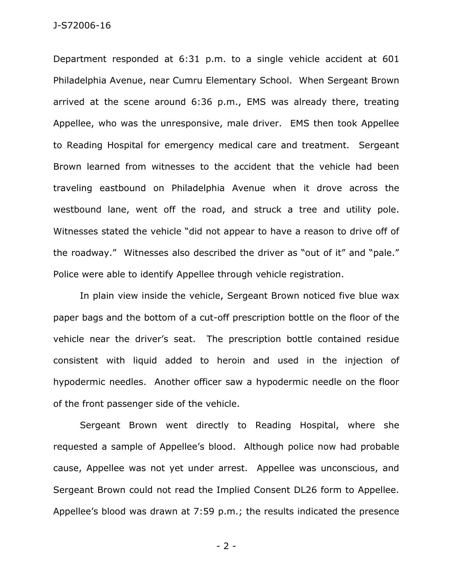Department responded at 6:31 p.m. to a single vehicle accident at 601 Philadelphia Avenue, near Cumru Elementary School. When Sergeant Brown arrived at the scene around 6:36 p.m., EMS was already there, treating Appellee, who was the unresponsive, male driver. EMS then took Appellee to Reading Hospital for emergency medical care and treatment. Sergeant Brown learned from witnesses to the accident that the vehicle had been traveling eastbound on Philadelphia Avenue when it drove across the westbound lane, went off the road, and struck a tree and utility pole. Witnesses stated the vehicle "did not appear to have a reason to drive off of the roadway." Witnesses also described the driver as "out of it" and "pale." Police were able to identify Appellee through vehicle registration.

In plain view inside the vehicle, Sergeant Brown noticed five blue wax paper bags and the bottom of a cut-off prescription bottle on the floor of the vehicle near the driver's seat. The prescription bottle contained residue consistent with liquid added to heroin and used in the injection of hypodermic needles. Another officer saw a hypodermic needle on the floor of the front passenger side of the vehicle.

Sergeant Brown went directly to Reading Hospital, where she requested a sample of Appellee's blood. Although police now had probable cause, Appellee was not yet under arrest. Appellee was unconscious, and Sergeant Brown could not read the Implied Consent DL26 form to Appellee. Appellee's blood was drawn at 7:59 p.m.; the results indicated the presence

- 2 -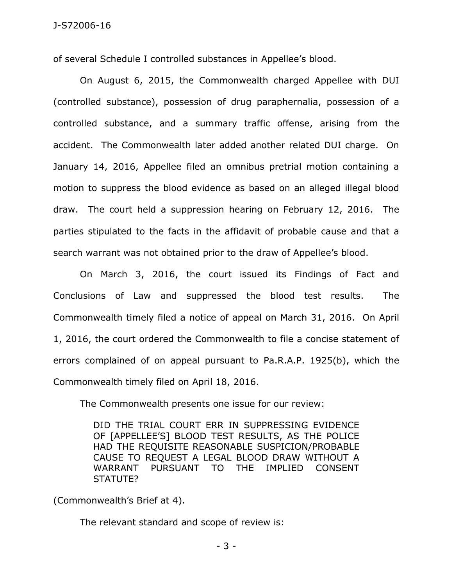of several Schedule I controlled substances in Appellee's blood.

On August 6, 2015, the Commonwealth charged Appellee with DUI (controlled substance), possession of drug paraphernalia, possession of a controlled substance, and a summary traffic offense, arising from the accident. The Commonwealth later added another related DUI charge. On January 14, 2016, Appellee filed an omnibus pretrial motion containing a motion to suppress the blood evidence as based on an alleged illegal blood draw. The court held a suppression hearing on February 12, 2016. The parties stipulated to the facts in the affidavit of probable cause and that a search warrant was not obtained prior to the draw of Appellee's blood.

On March 3, 2016, the court issued its Findings of Fact and Conclusions of Law and suppressed the blood test results. The Commonwealth timely filed a notice of appeal on March 31, 2016. On April 1, 2016, the court ordered the Commonwealth to file a concise statement of errors complained of on appeal pursuant to Pa.R.A.P. 1925(b), which the Commonwealth timely filed on April 18, 2016.

The Commonwealth presents one issue for our review:

DID THE TRIAL COURT ERR IN SUPPRESSING EVIDENCE OF [APPELLEE'S] BLOOD TEST RESULTS, AS THE POLICE HAD THE REQUISITE REASONABLE SUSPICION/PROBABLE CAUSE TO REQUEST A LEGAL BLOOD DRAW WITHOUT A WARRANT PURSUANT TO THE IMPLIED CONSENT STATUTE?

(Commonwealth's Brief at 4).

The relevant standard and scope of review is: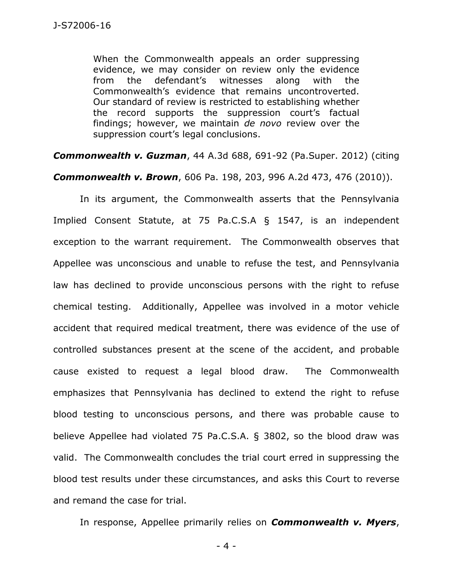When the Commonwealth appeals an order suppressing evidence, we may consider on review only the evidence from the defendant's witnesses along with the Commonwealth's evidence that remains uncontroverted. Our standard of review is restricted to establishing whether the record supports the suppression court's factual findings; however, we maintain *de novo* review over the suppression court's legal conclusions.

*Commonwealth v. Guzman*, 44 A.3d 688, 691-92 (Pa.Super. 2012) (citing

*Commonwealth v. Brown*, 606 Pa. 198, 203, 996 A.2d 473, 476 (2010)).

In its argument, the Commonwealth asserts that the Pennsylvania Implied Consent Statute, at 75 Pa.C.S.A § 1547, is an independent exception to the warrant requirement. The Commonwealth observes that Appellee was unconscious and unable to refuse the test, and Pennsylvania law has declined to provide unconscious persons with the right to refuse chemical testing. Additionally, Appellee was involved in a motor vehicle accident that required medical treatment, there was evidence of the use of controlled substances present at the scene of the accident, and probable cause existed to request a legal blood draw. The Commonwealth emphasizes that Pennsylvania has declined to extend the right to refuse blood testing to unconscious persons, and there was probable cause to believe Appellee had violated 75 Pa.C.S.A. § 3802, so the blood draw was valid. The Commonwealth concludes the trial court erred in suppressing the blood test results under these circumstances, and asks this Court to reverse and remand the case for trial.

In response, Appellee primarily relies on *Commonwealth v. Myers*,

- 4 -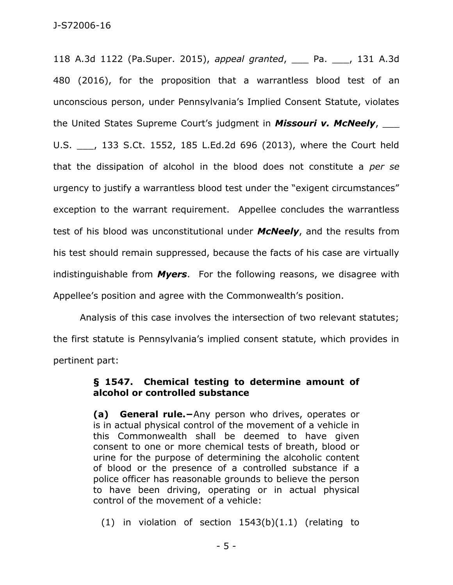118 A.3d 1122 (Pa.Super. 2015), *appeal granted*, \_\_\_ Pa. \_\_\_, 131 A.3d 480 (2016), for the proposition that a warrantless blood test of an unconscious person, under Pennsylvania's Implied Consent Statute, violates the United States Supreme Court's judgment in *Missouri v. McNeely*, \_\_\_ U.S. \_\_\_, 133 S.Ct. 1552, 185 L.Ed.2d 696 (2013), where the Court held that the dissipation of alcohol in the blood does not constitute a *per se* urgency to justify a warrantless blood test under the "exigent circumstances" exception to the warrant requirement. Appellee concludes the warrantless test of his blood was unconstitutional under *McNeely*, and the results from his test should remain suppressed, because the facts of his case are virtually indistinguishable from *Myers*. For the following reasons, we disagree with Appellee's position and agree with the Commonwealth's position.

Analysis of this case involves the intersection of two relevant statutes; the first statute is Pennsylvania's implied consent statute, which provides in pertinent part:

## **§ 1547. Chemical testing to determine amount of alcohol or controlled substance**

**(a) General rule.−**Any person who drives, operates or is in actual physical control of the movement of a vehicle in this Commonwealth shall be deemed to have given consent to one or more chemical tests of breath, blood or urine for the purpose of determining the alcoholic content of blood or the presence of a controlled substance if a police officer has reasonable grounds to believe the person to have been driving, operating or in actual physical control of the movement of a vehicle:

(1) in violation of section 1543(b)(1.1) (relating to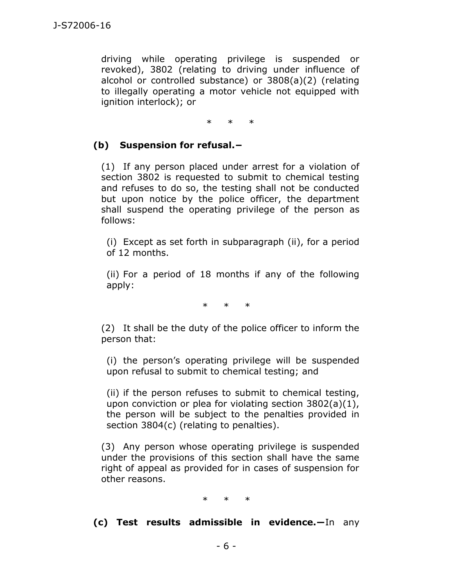driving while operating privilege is suspended or revoked), 3802 (relating to driving under influence of alcohol or controlled substance) or 3808(a)(2) (relating to illegally operating a motor vehicle not equipped with ignition interlock); or

\* \* \*

## **(b) Suspension for refusal.−**

(1) If any person placed under arrest for a violation of section 3802 is requested to submit to chemical testing and refuses to do so, the testing shall not be conducted but upon notice by the police officer, the department shall suspend the operating privilege of the person as follows:

(i) Except as set forth in subparagraph (ii), for a period of 12 months.

(ii) For a period of 18 months if any of the following apply:

\* \* \*

(2) It shall be the duty of the police officer to inform the person that:

(i) the person's operating privilege will be suspended upon refusal to submit to chemical testing; and

(ii) if the person refuses to submit to chemical testing, upon conviction or plea for violating section 3802(a)(1), the person will be subject to the penalties provided in section 3804(c) (relating to penalties).

(3) Any person whose operating privilege is suspended under the provisions of this section shall have the same right of appeal as provided for in cases of suspension for other reasons.

\* \* \*

**(c) Test results admissible in evidence.―**In any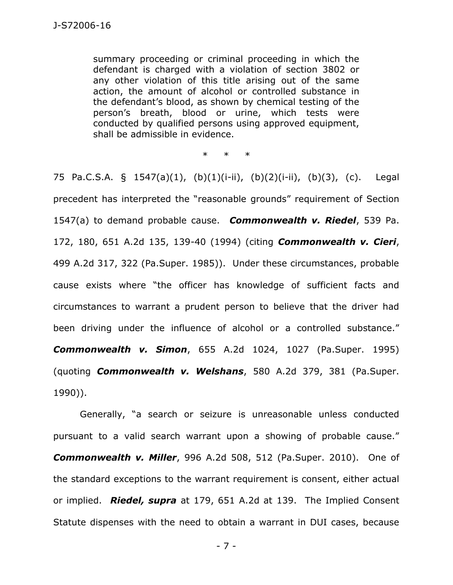summary proceeding or criminal proceeding in which the defendant is charged with a violation of section 3802 or any other violation of this title arising out of the same action, the amount of alcohol or controlled substance in the defendant's blood, as shown by chemical testing of the person's breath, blood or urine, which tests were conducted by qualified persons using approved equipment, shall be admissible in evidence.

\* \* \*

75 Pa.C.S.A. § 1547(a)(1), (b)(1)(i-ii), (b)(2)(i-ii), (b)(3), (c). Legal precedent has interpreted the "reasonable grounds" requirement of Section 1547(a) to demand probable cause. *Commonwealth v. Riedel*, 539 Pa. 172, 180, 651 A.2d 135, 139-40 (1994) (citing *Commonwealth v. Cieri*, 499 A.2d 317, 322 (Pa.Super. 1985)). Under these circumstances, probable cause exists where "the officer has knowledge of sufficient facts and circumstances to warrant a prudent person to believe that the driver had been driving under the influence of alcohol or a controlled substance." *Commonwealth v. Simon*, 655 A.2d 1024, 1027 (Pa.Super. 1995) (quoting *Commonwealth v. Welshans*, 580 A.2d 379, 381 (Pa.Super. 1990)).

Generally, "a search or seizure is unreasonable unless conducted pursuant to a valid search warrant upon a showing of probable cause." *Commonwealth v. Miller*, 996 A.2d 508, 512 (Pa.Super. 2010). One of the standard exceptions to the warrant requirement is consent, either actual or implied. *Riedel, supra* at 179, 651 A.2d at 139. The Implied Consent Statute dispenses with the need to obtain a warrant in DUI cases, because

- 7 -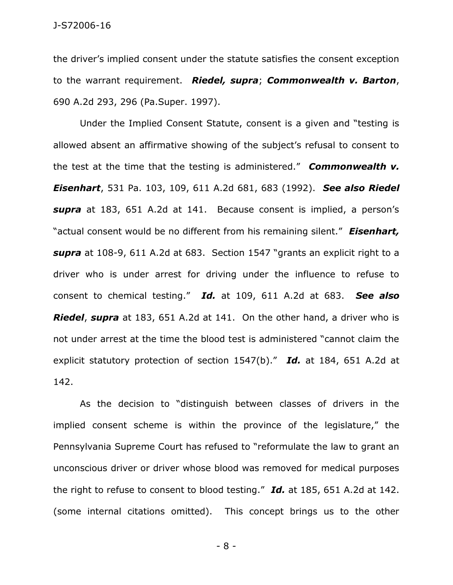the driver's implied consent under the statute satisfies the consent exception to the warrant requirement. *Riedel, supra*; *Commonwealth v. Barton*, 690 A.2d 293, 296 (Pa.Super. 1997).

Under the Implied Consent Statute, consent is a given and "testing is allowed absent an affirmative showing of the subject's refusal to consent to the test at the time that the testing is administered." *Commonwealth v. Eisenhart*, 531 Pa. 103, 109, 611 A.2d 681, 683 (1992). *See also Riedel supra* at 183, 651 A.2d at 141. Because consent is implied, a person's "actual consent would be no different from his remaining silent." *Eisenhart, supra* at 108-9, 611 A.2d at 683. Section 1547 "grants an explicit right to a driver who is under arrest for driving under the influence to refuse to consent to chemical testing." *Id.* at 109, 611 A.2d at 683. *See also Riedel*, *supra* at 183, 651 A.2d at 141. On the other hand, a driver who is not under arrest at the time the blood test is administered "cannot claim the explicit statutory protection of section 1547(b)." *Id.* at 184, 651 A.2d at 142.

As the decision to "distinguish between classes of drivers in the implied consent scheme is within the province of the legislature," the Pennsylvania Supreme Court has refused to "reformulate the law to grant an unconscious driver or driver whose blood was removed for medical purposes the right to refuse to consent to blood testing." *Id.* at 185, 651 A.2d at 142. (some internal citations omitted). This concept brings us to the other

- 8 -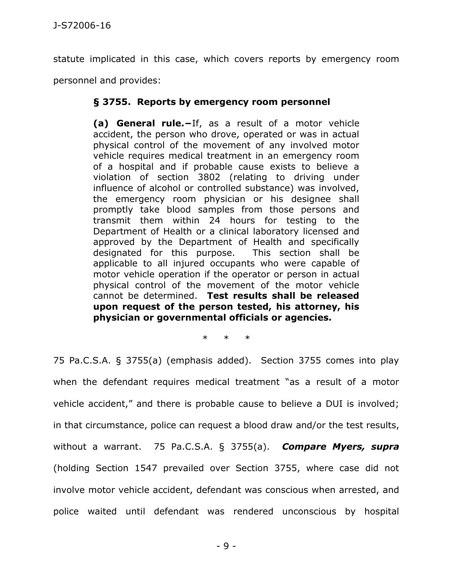statute implicated in this case, which covers reports by emergency room personnel and provides:

## **§ 3755. Reports by emergency room personnel**

**(a) General rule.−**If, as a result of a motor vehicle accident, the person who drove, operated or was in actual physical control of the movement of any involved motor vehicle requires medical treatment in an emergency room of a hospital and if probable cause exists to believe a violation of section 3802 (relating to driving under influence of alcohol or controlled substance) was involved, the emergency room physician or his designee shall promptly take blood samples from those persons and transmit them within 24 hours for testing to the Department of Health or a clinical laboratory licensed and approved by the Department of Health and specifically designated for this purpose. This section shall be applicable to all injured occupants who were capable of motor vehicle operation if the operator or person in actual physical control of the movement of the motor vehicle cannot be determined. **Test results shall be released upon request of the person tested, his attorney, his physician or governmental officials or agencies.**

\* \* \*

75 Pa.C.S.A. § 3755(a) (emphasis added). Section 3755 comes into play when the defendant requires medical treatment "as a result of a motor vehicle accident," and there is probable cause to believe a DUI is involved; in that circumstance, police can request a blood draw and/or the test results, without a warrant. 75 Pa.C.S.A. § 3755(a). *Compare Myers, supra* (holding Section 1547 prevailed over Section 3755, where case did not involve motor vehicle accident, defendant was conscious when arrested, and police waited until defendant was rendered unconscious by hospital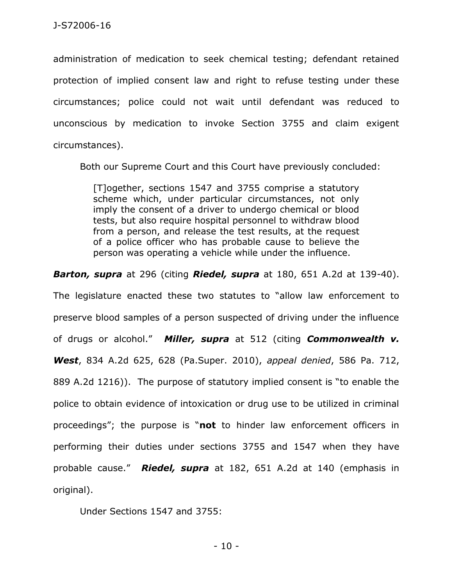administration of medication to seek chemical testing; defendant retained protection of implied consent law and right to refuse testing under these circumstances; police could not wait until defendant was reduced to unconscious by medication to invoke Section 3755 and claim exigent circumstances).

Both our Supreme Court and this Court have previously concluded:

[T]ogether, sections 1547 and 3755 comprise a statutory scheme which, under particular circumstances, not only imply the consent of a driver to undergo chemical or blood tests, but also require hospital personnel to withdraw blood from a person, and release the test results, at the request of a police officer who has probable cause to believe the person was operating a vehicle while under the influence.

*Barton, supra* at 296 (citing *Riedel, supra* at 180, 651 A.2d at 139-40).

The legislature enacted these two statutes to "allow law enforcement to preserve blood samples of a person suspected of driving under the influence of drugs or alcohol." *Miller, supra* at 512 (citing *Commonwealth v. West*, 834 A.2d 625, 628 (Pa.Super. 2010), *appeal denied*, 586 Pa. 712, 889 A.2d 1216)). The purpose of statutory implied consent is "to enable the police to obtain evidence of intoxication or drug use to be utilized in criminal proceedings"; the purpose is "**not** to hinder law enforcement officers in performing their duties under sections 3755 and 1547 when they have probable cause." *Riedel, supra* at 182, 651 A.2d at 140 (emphasis in original).

Under Sections 1547 and [3755:](https://1.next.westlaw.com/Link/Document/FullText?findType=L&pubNum=1000262&cite=PA75S3755&originatingDoc=I91f97aa2367511d9abe5ec754599669c&refType=LQ&originationContext=document&transitionType=DocumentItem&contextData=(sc.UserEnteredCitation))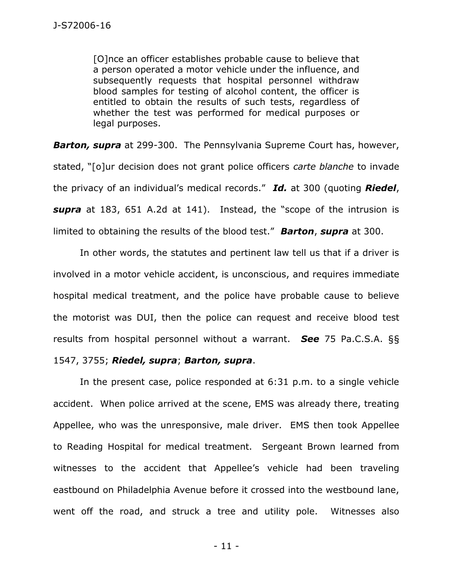[O]nce an officer establishes probable cause to believe that a person operated a motor vehicle under the influence, and subsequently requests that hospital personnel withdraw blood samples for testing of alcohol content, the officer is entitled to obtain the results of such tests, regardless of whether the test was performed for medical purposes or legal purposes.

*Barton, supra* at 299-300. The Pennsylvania Supreme Court has, however, stated, "[o]ur decision does not grant police officers *carte blanche* to invade the privacy of an individual's medical records." *Id.* at 300 (quoting *Riedel*, *supra* at 183, 651 A.2d at 141). Instead, the "scope of the intrusion is limited to obtaining the results of the blood test." *Barton*, *supra* at 300.

In other words, the statutes and pertinent law tell us that if a driver is involved in a motor vehicle accident, is unconscious, and requires immediate hospital medical treatment, and the police have probable cause to believe the motorist was DUI, then the police can request and receive blood test results from hospital personnel without a warrant. *See* 75 Pa.C.S.A. §§ 1547, 3755; *Riedel, supra*; *Barton, supra*.

In the present case, police responded at 6:31 p.m. to a single vehicle accident. When police arrived at the scene, EMS was already there, treating Appellee, who was the unresponsive, male driver. EMS then took Appellee to Reading Hospital for medical treatment. Sergeant Brown learned from witnesses to the accident that Appellee's vehicle had been traveling eastbound on Philadelphia Avenue before it crossed into the westbound lane, went off the road, and struck a tree and utility pole. Witnesses also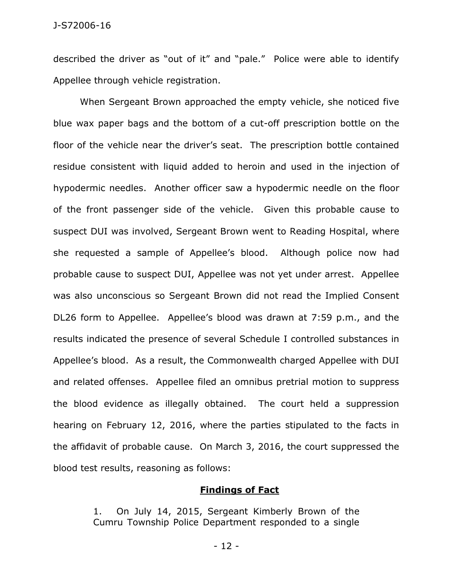#### J-S72006-16

described the driver as "out of it" and "pale." Police were able to identify Appellee through vehicle registration.

When Sergeant Brown approached the empty vehicle, she noticed five blue wax paper bags and the bottom of a cut-off prescription bottle on the floor of the vehicle near the driver's seat. The prescription bottle contained residue consistent with liquid added to heroin and used in the injection of hypodermic needles. Another officer saw a hypodermic needle on the floor of the front passenger side of the vehicle. Given this probable cause to suspect DUI was involved, Sergeant Brown went to Reading Hospital, where she requested a sample of Appellee's blood. Although police now had probable cause to suspect DUI, Appellee was not yet under arrest. Appellee was also unconscious so Sergeant Brown did not read the Implied Consent DL26 form to Appellee. Appellee's blood was drawn at 7:59 p.m., and the results indicated the presence of several Schedule I controlled substances in Appellee's blood. As a result, the Commonwealth charged Appellee with DUI and related offenses. Appellee filed an omnibus pretrial motion to suppress the blood evidence as illegally obtained. The court held a suppression hearing on February 12, 2016, where the parties stipulated to the facts in the affidavit of probable cause. On March 3, 2016, the court suppressed the blood test results, reasoning as follows:

#### **Findings of Fact**

1. On July 14, 2015, Sergeant Kimberly Brown of the Cumru Township Police Department responded to a single

- 12 -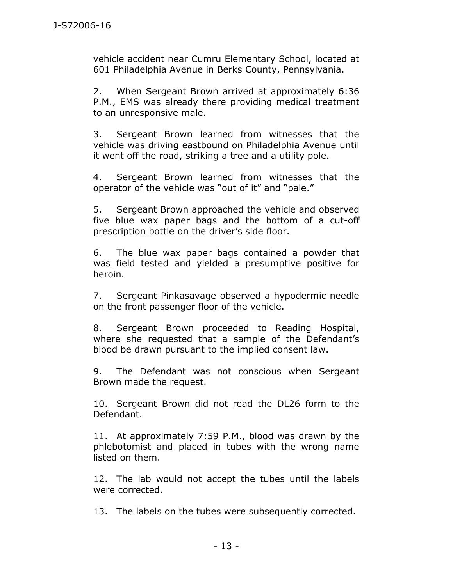vehicle accident near Cumru Elementary School, located at 601 Philadelphia Avenue in Berks County, Pennsylvania.

2. When Sergeant Brown arrived at approximately 6:36 P.M., EMS was already there providing medical treatment to an unresponsive male.

3. Sergeant Brown learned from witnesses that the vehicle was driving eastbound on Philadelphia Avenue until it went off the road, striking a tree and a utility pole.

4. Sergeant Brown learned from witnesses that the operator of the vehicle was "out of it" and "pale."

5. Sergeant Brown approached the vehicle and observed five blue wax paper bags and the bottom of a cut-off prescription bottle on the driver's side floor.

6. The blue wax paper bags contained a powder that was field tested and yielded a presumptive positive for heroin.

7. Sergeant Pinkasavage observed a hypodermic needle on the front passenger floor of the vehicle.

8. Sergeant Brown proceeded to Reading Hospital, where she requested that a sample of the Defendant's blood be drawn pursuant to the implied consent law.

9. The Defendant was not conscious when Sergeant Brown made the request.

10. Sergeant Brown did not read the DL26 form to the Defendant.

11. At approximately 7:59 P.M., blood was drawn by the phlebotomist and placed in tubes with the wrong name listed on them.

12. The lab would not accept the tubes until the labels were corrected.

13. The labels on the tubes were subsequently corrected.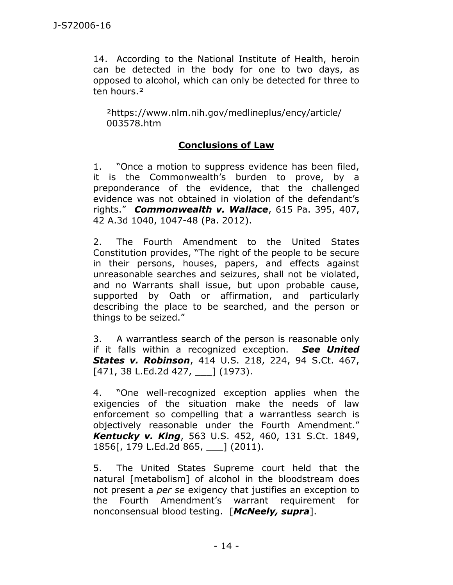14. According to the National Institute of Health, heroin can be detected in the body for one to two days, as opposed to alcohol, which can only be detected for three to ten hours.<sup>2</sup>

²https://www.nlm.nih.gov/medlineplus/ency/article/ 003578.htm

# **Conclusions of Law**

1. "Once a motion to suppress evidence has been filed, it is the Commonwealth's burden to prove, by a preponderance of the evidence, that the challenged evidence was not obtained in violation of the defendant's rights." *Commonwealth v. Wallace*, 615 Pa. 395, 407, 42 A.3d 1040, 1047-48 (Pa. 2012).

2. The Fourth Amendment to the United States Constitution provides, "The right of the people to be secure in their persons, houses, papers, and effects against unreasonable searches and seizures, shall not be violated, and no Warrants shall issue, but upon probable cause, supported by Oath or affirmation, and particularly describing the place to be searched, and the person or things to be seized."

3. A warrantless search of the person is reasonable only if it falls within a recognized exception. *See United States v. Robinson*, 414 U.S. 218, 224, 94 S.Ct. 467, [471, 38 L.Ed.2d 427, ] (1973).

4. "One well-recognized exception applies when the exigencies of the situation make the needs of law enforcement so compelling that a warrantless search is objectively reasonable under the Fourth Amendment." *Kentucky v. King*, 563 U.S. 452, 460, 131 S.Ct. 1849, 1856[, 179 L.Ed.2d 865, \_\_\_] (2011).

5. The United States Supreme court held that the natural [metabolism] of alcohol in the bloodstream does not present a *per se* exigency that justifies an exception to the Fourth Amendment's warrant requirement for nonconsensual blood testing. [*McNeely, supra*].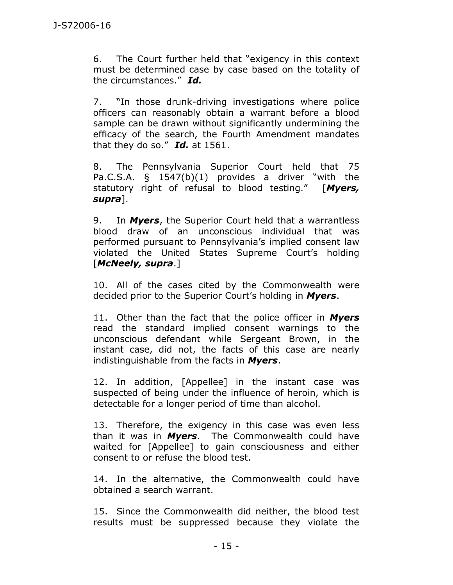6. The Court further held that "exigency in this context must be determined case by case based on the totality of the circumstances." *Id.*

7. "In those drunk-driving investigations where police officers can reasonably obtain a warrant before a blood sample can be drawn without significantly undermining the efficacy of the search, the Fourth Amendment mandates that they do so." *Id.* at 1561.

8. The Pennsylvania Superior Court held that 75 Pa.C.S.A. § 1547(b)(1) provides a driver "with the statutory right of refusal to blood testing." [*Myers, supra*].

9. In *Myers*, the Superior Court held that a warrantless blood draw of an unconscious individual that was performed pursuant to Pennsylvania's implied consent law violated the United States Supreme Court's holding [*McNeely, supra*.]

10. All of the cases cited by the Commonwealth were decided prior to the Superior Court's holding in *Myers*.

11. Other than the fact that the police officer in *Myers* read the standard implied consent warnings to the unconscious defendant while Sergeant Brown, in the instant case, did not, the facts of this case are nearly indistinguishable from the facts in *Myers*.

12. In addition, [Appellee] in the instant case was suspected of being under the influence of heroin, which is detectable for a longer period of time than alcohol.

13. Therefore, the exigency in this case was even less than it was in *Myers*. The Commonwealth could have waited for [Appellee] to gain consciousness and either consent to or refuse the blood test.

14. In the alternative, the Commonwealth could have obtained a search warrant.

15. Since the Commonwealth did neither, the blood test results must be suppressed because they violate the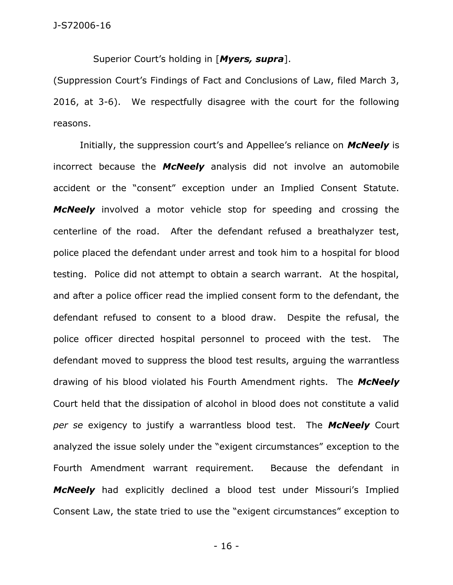Superior Court's holding in [*Myers, supra*].

(Suppression Court's Findings of Fact and Conclusions of Law, filed March 3, 2016, at 3-6). We respectfully disagree with the court for the following reasons.

Initially, the suppression court's and Appellee's reliance on *McNeely* is incorrect because the *McNeely* analysis did not involve an automobile accident or the "consent" exception under an Implied Consent Statute. *McNeely* involved a motor vehicle stop for speeding and crossing the centerline of the road. After the defendant refused a breathalyzer test, police placed the defendant under arrest and took him to a hospital for blood testing. Police did not attempt to obtain a search warrant. At the hospital, and after a police officer read the implied consent form to the defendant, the defendant refused to consent to a blood draw. Despite the refusal, the police officer directed hospital personnel to proceed with the test. The defendant moved to suppress the blood test results, arguing the warrantless drawing of his blood violated his Fourth Amendment rights. The *McNeely* Court held that the dissipation of alcohol in blood does not constitute a valid *per se* exigency to justify a warrantless blood test. The *McNeely* Court analyzed the issue solely under the "exigent circumstances" exception to the Fourth Amendment warrant requirement. Because the defendant in *McNeely* had explicitly declined a blood test under Missouri's Implied Consent Law, the state tried to use the "exigent circumstances" exception to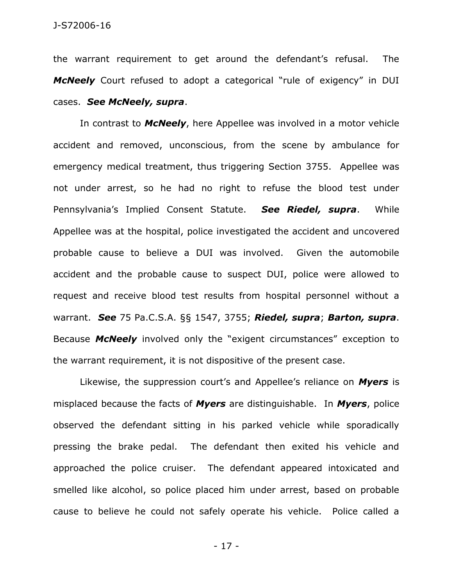the warrant requirement to get around the defendant's refusal. The *McNeely* Court refused to adopt a categorical "rule of exigency" in DUI cases. *See McNeely, supra*.

In contrast to *McNeely*, here Appellee was involved in a motor vehicle accident and removed, unconscious, from the scene by ambulance for emergency medical treatment, thus triggering Section 3755. Appellee was not under arrest, so he had no right to refuse the blood test under Pennsylvania's Implied Consent Statute. *See Riedel, supra*. While Appellee was at the hospital, police investigated the accident and uncovered probable cause to believe a DUI was involved. Given the automobile accident and the probable cause to suspect DUI, police were allowed to request and receive blood test results from hospital personnel without a warrant. *See* 75 Pa.C.S.A. §§ 1547, 3755; *Riedel, supra*; *Barton, supra*. Because *McNeely* involved only the "exigent circumstances" exception to the warrant requirement, it is not dispositive of the present case.

Likewise, the suppression court's and Appellee's reliance on *Myers* is misplaced because the facts of *Myers* are distinguishable. In *Myers*, police observed the defendant sitting in his parked vehicle while sporadically pressing the brake pedal. The defendant then exited his vehicle and approached the police cruiser. The defendant appeared intoxicated and smelled like alcohol, so police placed him under arrest, based on probable cause to believe he could not safely operate his vehicle. Police called a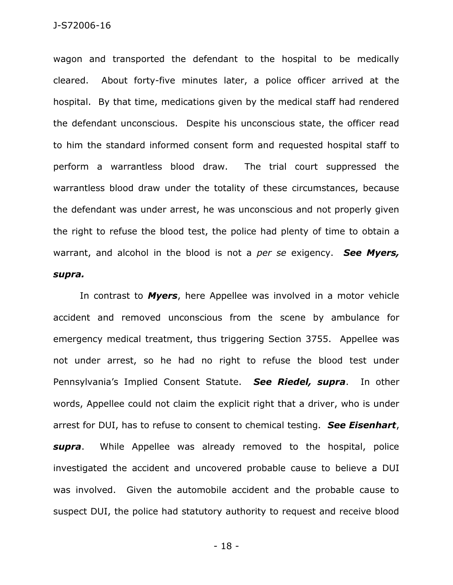wagon and transported the defendant to the hospital to be medically cleared. About forty-five minutes later, a police officer arrived at the hospital. By that time, medications given by the medical staff had rendered the defendant unconscious. Despite his unconscious state, the officer read to him the standard informed consent form and requested hospital staff to perform a warrantless blood draw. The trial court suppressed the warrantless blood draw under the totality of these circumstances, because the defendant was under arrest, he was unconscious and not properly given the right to refuse the blood test, the police had plenty of time to obtain a warrant, and alcohol in the blood is not a *per se* exigency. *See Myers, supra.*

In contrast to *Myers*, here Appellee was involved in a motor vehicle accident and removed unconscious from the scene by ambulance for emergency medical treatment, thus triggering Section 3755. Appellee was not under arrest, so he had no right to refuse the blood test under Pennsylvania's Implied Consent Statute. *See Riedel, supra*. In other words, Appellee could not claim the explicit right that a driver, who is under arrest for DUI, has to refuse to consent to chemical testing. *See Eisenhart*, *supra*. While Appellee was already removed to the hospital, police investigated the accident and uncovered probable cause to believe a DUI was involved. Given the automobile accident and the probable cause to suspect DUI, the police had statutory authority to request and receive blood

- 18 -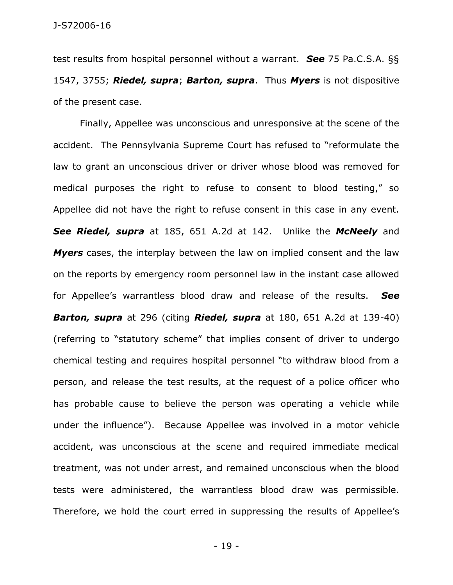test results from hospital personnel without a warrant. *See* 75 Pa.C.S.A. §§ 1547, 3755; *Riedel, supra*; *Barton, supra*. Thus *Myers* is not dispositive of the present case.

Finally, Appellee was unconscious and unresponsive at the scene of the accident. The Pennsylvania Supreme Court has refused to "reformulate the law to grant an unconscious driver or driver whose blood was removed for medical purposes the right to refuse to consent to blood testing," so Appellee did not have the right to refuse consent in this case in any event. *See Riedel, supra* at 185, 651 A.2d at 142. Unlike the *McNeely* and *Myers* cases, the interplay between the law on implied consent and the law on the reports by emergency room personnel law in the instant case allowed for Appellee's warrantless blood draw and release of the results. *See Barton, supra* at 296 (citing *Riedel, supra* at 180, 651 A.2d at 139-40) (referring to "statutory scheme" that implies consent of driver to undergo chemical testing and requires hospital personnel "to withdraw blood from a person, and release the test results, at the request of a police officer who has probable cause to believe the person was operating a vehicle while under the influence"). Because Appellee was involved in a motor vehicle accident, was unconscious at the scene and required immediate medical treatment, was not under arrest, and remained unconscious when the blood tests were administered, the warrantless blood draw was permissible. Therefore, we hold the court erred in suppressing the results of Appellee's

- 19 -